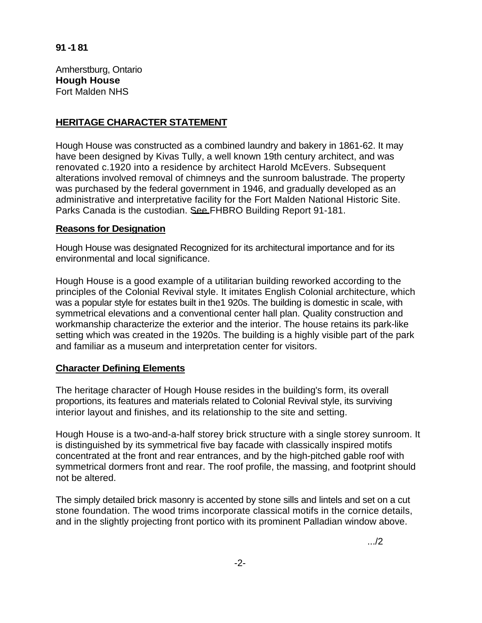Amherstburg, Ontario **Hough House**  Fort Malden NHS

## **HERITAGE CHARACTER STATEMENT**

Hough House was constructed as a combined laundry and bakery in 1861-62. It may have been designed by Kivas Tully, a well known 19th century architect, and was renovated c.1920 into a residence by architect Harold McEvers. Subsequent alterations involved removal of chimneys and the sunroom balustrade. The property was purchased by the federal government in 1946, and gradually developed as an administrative and interpretative facility for the Fort Malden National Historic Site. Parks Canada is the custodian. See FHBRO Building Report 91-181.

## **Reasons for Designation**

Hough House was designated Recognized for its architectural importance and for its environmental and local significance.

Hough House is a good example of a utilitarian building reworked according to the principles of the Colonial Revival style. It imitates English Colonial architecture, which was a popular style for estates built in the1 920s. The building is domestic in scale, with symmetrical elevations and a conventional center hall plan. Quality construction and workmanship characterize the exterior and the interior. The house retains its park-like setting which was created in the 1920s. The building is a highly visible part of the park and familiar as a museum and interpretation center for visitors.

## **Character Defining Elements**

The heritage character of Hough House resides in the building's form, its overall proportions, its features and materials related to Colonial Revival style, its surviving interior layout and finishes, and its relationship to the site and setting.

Hough House is a two-and-a-half storey brick structure with a single storey sunroom. It is distinguished by its symmetrical five bay facade with classically inspired motifs concentrated at the front and rear entrances, and by the high-pitched gable roof with symmetrical dormers front and rear. The roof profile, the massing, and footprint should not be altered.

The simply detailed brick masonry is accented by stone sills and lintels and set on a cut stone foundation. The wood trims incorporate classical motifs in the cornice details, and in the slightly projecting front portico with its prominent Palladian window above.

.../2